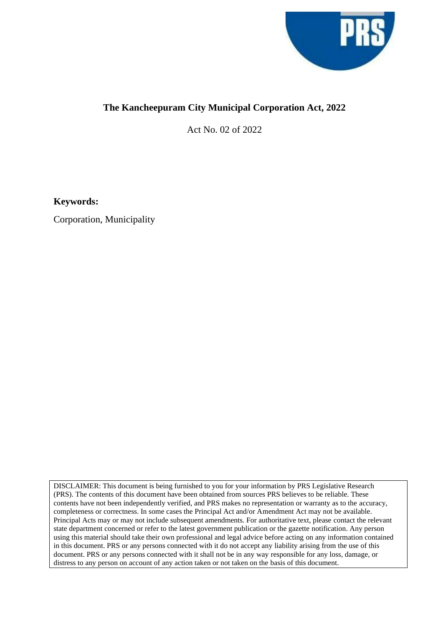

## **The Kancheepuram City Municipal Corporation Act, 2022**

Act No. 02 of 2022

**Keywords:**

Corporation, Municipality

DISCLAIMER: This document is being furnished to you for your information by PRS Legislative Research (PRS). The contents of this document have been obtained from sources PRS believes to be reliable. These contents have not been independently verified, and PRS makes no representation or warranty as to the accuracy, completeness or correctness. In some cases the Principal Act and/or Amendment Act may not be available. Principal Acts may or may not include subsequent amendments. For authoritative text, please contact the relevant state department concerned or refer to the latest government publication or the gazette notification. Any person using this material should take their own professional and legal advice before acting on any information contained in this document. PRS or any persons connected with it do not accept any liability arising from the use of this document. PRS or any persons connected with it shall not be in any way responsible for any loss, damage, or distress to any person on account of any action taken or not taken on the basis of this document.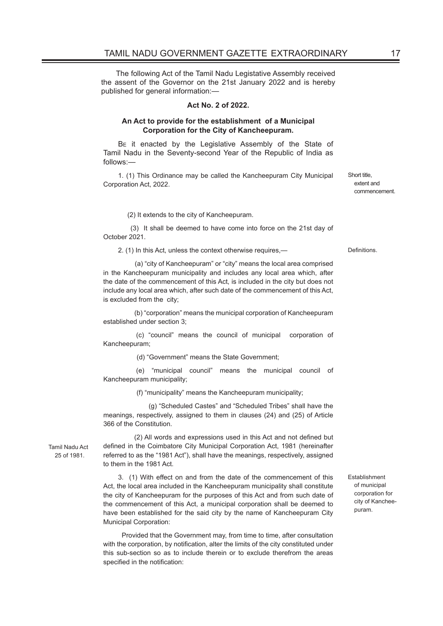The following Act of the Tamil Nadu Legistative Assembly received the assent of the Governor on the 21st January 2022 and is hereby published for general information:—

## **Act No. 2 of 2022.**

## **An Act to provide for the establishment of a Municipal Corporation for the City of Kancheepuram.**

B<sub>E</sub> it enacted by the Legislative Assembly of the State of Tamil Nadu in the Seventy-second Year of the Republic of India as follows:—

1. (1) This Ordinance may be called the Kancheepuram City Municipal Corporation Act, 2022.

Short title, extent and commencement.

(2) It extends to the city of Kancheepuram.

 (3) It shall be deemed to have come into force on the 21st day of October 2021.

2. (1) In this Act, unless the context otherwise requires,— Definitions.

 (a) "city of Kancheepuram" or "city" means the local area comprised in the Kancheepuram municipality and includes any local area which, after the date of the commencement of this Act, is included in the city but does not include any local area which, after such date of the commencement of this Act, is excluded from the city;

 (b) "corporation" means the municipal corporation of Kancheepuram established under section 3;

 (c) "council" means the council of municipal corporation of Kancheepuram;

(d) "Government" means the State Government;

 (e) "municipal council" means the municipal council of Kancheepuram municipality;

(f) "municipality" means the Kancheepuram municipality;

 (g) "Scheduled Castes" and "Scheduled Tribes" shall have the meanings, respectively, assigned to them in clauses (24) and (25) of Article 366 of the Constitution.

Tamil Nadu Act 25 of 1981.

 (2) All words and expressions used in this Act and not defined but defined in the Coimbatore City Municipal Corporation Act, 1981 (hereinafter referred to as the "1981 Act"), shall have the meanings, respectively, assigned to them in the 1981 Act.

3. (1) With effect on and from the date of the commencement of this Act, the local area included in the Kancheepuram municipality shall constitute the city of Kancheepuram for the purposes of this Act and from such date of the commencement of this Act, a municipal corporation shall be deemed to have been established for the said city by the name of Kancheepuram City Municipal Corporation:

 Provided that the Government may, from time to time, after consultation with the corporation, by notification, alter the limits of the city constituted under this sub-section so as to include therein or to exclude therefrom the areas specified in the notification:

Establishment of municipal corporation for city of Kancheepuram.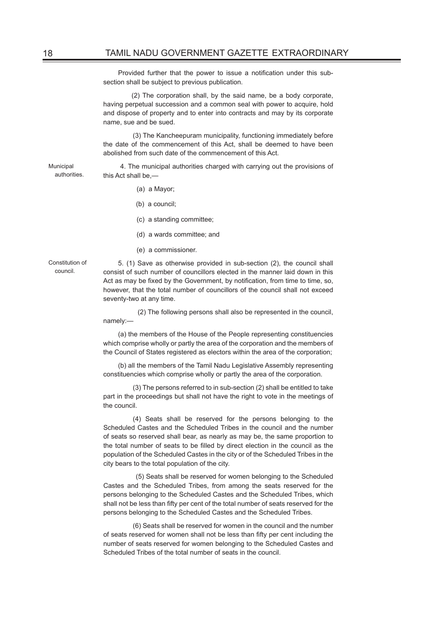Provided further that the power to issue a notification under this subsection shall be subject to previous publication.

 (2) The corporation shall, by the said name, be a body corporate, having perpetual succession and a common seal with power to acquire, hold and dispose of property and to enter into contracts and may by its corporate name, sue and be sued.

 (3) The Kancheepuram municipality, functioning immediately before the date of the commencement of this Act, shall be deemed to have been abolished from such date of the commencement of this Act.

Municipal authorities.

 4. The municipal authorities charged with carrying out the provisions of this Act shall be,—

- (a) a Mayor;
- (b) a council;
- (c) a standing committee;
- (d) a wards committee; and
- (e) a commissioner.

Constitution of council.

5. (1) Save as otherwise provided in sub-section (2), the council shall consist of such number of councillors elected in the manner laid down in this Act as may be fixed by the Government, by notification, from time to time, so, however, that the total number of councillors of the council shall not exceed seventy-two at any time.

 (2) The following persons shall also be represented in the council, namely:—

(a) the members of the House of the People representing constituencies which comprise wholly or partly the area of the corporation and the members of the Council of States registered as electors within the area of the corporation;

(b) all the members of the Tamil Nadu Legislative Assembly representing constituencies which comprise wholly or partly the area of the corporation.

 (3) The persons referred to in sub-section (2) shall be entitled to take part in the proceedings but shall not have the right to vote in the meetings of the council.

 (4) Seats shall be reserved for the persons belonging to the Scheduled Castes and the Scheduled Tribes in the council and the number of seats so reserved shall bear, as nearly as may be, the same proportion to the total number of seats to be filled by direct election in the council as the population of the Scheduled Castes in the city or of the Scheduled Tribes in the city bears to the total population of the city.

 (5) Seats shall be reserved for women belonging to the Scheduled Castes and the Scheduled Tribes, from among the seats reserved for the persons belonging to the Scheduled Castes and the Scheduled Tribes, which shall not be less than fifty per cent of the total number of seats reserved for the persons belonging to the Scheduled Castes and the Scheduled Tribes.

 (6) Seats shall be reserved for women in the council and the number of seats reserved for women shall not be less than fifty per cent including the number of seats reserved for women belonging to the Scheduled Castes and Scheduled Tribes of the total number of seats in the council.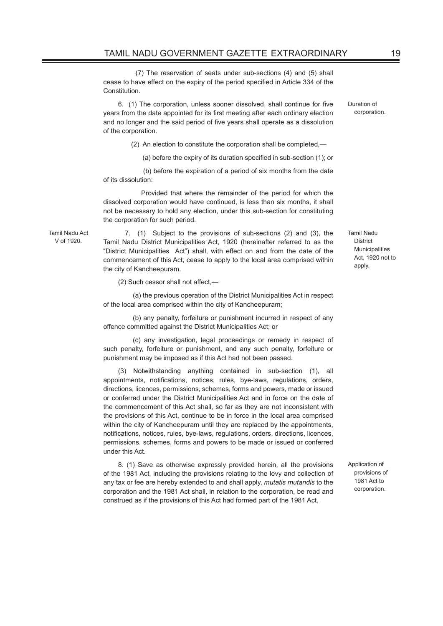(7) The reservation of seats under sub-sections (4) and (5) shall cease to have effect on the expiry of the period specified in Article 334 of the Constitution.

6. (1) The corporation, unless sooner dissolved, shall continue for five years from the date appointed for its first meeting after each ordinary election and no longer and the said period of five years shall operate as a dissolution of the corporation.

(2) An election to constitute the corporation shall be completed,—

(a) before the expiry of its duration specified in sub-section (1); or

 (b) before the expiration of a period of six months from the date of its dissolution:

 Provided that where the remainder of the period for which the dissolved corporation would have continued, is less than six months, it shall not be necessary to hold any election, under this sub-section for constituting the corporation for such period.

Tamil Nadu Act V of 1920.

 7. (1) Subject to the provisions of sub-sections (2) and (3), the Tamil Nadu District Municipalities Act, 1920 (hereinafter referred to as the "District Municipalities Act") shall, with effect on and from the date of the commencement of this Act, cease to apply to the local area comprised within the city of Kancheepuram.

(2) Such cessor shall not affect,—

(a) the previous operation of the District Municipalities Act in respect of the local area comprised within the city of Kancheepuram;

(b) any penalty, forfeiture or punishment incurred in respect of any offence committed against the District Municipalities Act; or

(c) any investigation, legal proceedings or remedy in respect of such penalty, forfeiture or punishment, and any such penalty, forfeiture or punishment may be imposed as if this Act had not been passed.

(3) Notwithstanding anything contained in sub-section (1), all appointments, notifications, notices, rules, bye-laws, regulations, orders, directions, licences, permissions, schemes, forms and powers, made or issued or conferred under the District Municipalities Act and in force on the date of the commencement of this Act shall, so far as they are not inconsistent with the provisions of this Act, continue to be in force in the local area comprised within the city of Kancheepuram until they are replaced by the appointments, notifications, notices, rules, bye-laws, regulations, orders, directions, licences, permissions, schemes, forms and powers to be made or issued or conferred under this Act.

8. (1) Save as otherwise expressly provided herein, all the provisions of the 1981 Act, including the provisions relating to the levy and collection of any tax or fee are hereby extended to and shall apply, *mutatis mutandis* to the corporation and the 1981 Act shall, in relation to the corporation, be read and construed as if the provisions of this Act had formed part of the 1981 Act.

Tamil Nadu **District** Municipalities Act, 1920 not to apply.

Duration of corporation.

Application of provisions of 1981 Act to corporation.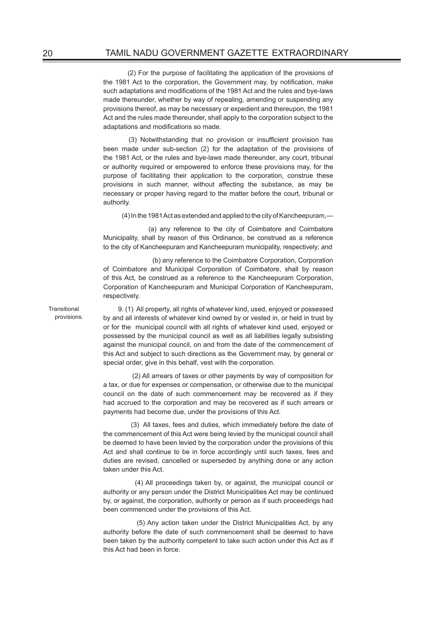(2) For the purpose of facilitating the application of the provisions of the 1981 Act to the corporation, the Government may, by notification, make such adaptations and modifications of the 1981 Act and the rules and bye-laws made thereunder, whether by way of repealing, amending or suspending any provisions thereof, as may be necessary or expedient and thereupon, the 1981 Act and the rules made thereunder, shall apply to the corporation subject to the adaptations and modifications so made.

 (3) Notwithstanding that no provision or insufficient provision has been made under sub-section (2) for the adaptation of the provisions of the 1981 Act, or the rules and bye-laws made thereunder, any court, tribunal or authority required or empowered to enforce these provisions may, for the purpose of facilitating their application to the corporation, construe these provisions in such manner, without affecting the substance, as may be necessary or proper having regard to the matter before the court, tribunal or authority.

(4) In the 1981 Act as extended and applied to the city of Kancheepuram,—

 (a) any reference to the city of Coimbatore and Coimbatore Municipality, shall by reason of this Ordinance, be construed as a reference to the city of Kancheepuram and Kancheepuram municipality, respectively; and

 (b) any reference to the Coimbatore Corporation, Corporation of Coimbatore and Municipal Corporation of Coimbatore, shall by reason of this Act, be construed as a reference to the Kancheepuram Corporation, Corporation of Kancheepuram and Municipal Corporation of Kancheepuram, respectively.

9. (1) All property, all rights of whatever kind, used, enjoyed or possessed by and all interests of whatever kind owned by or vested in, or held in trust by or for the municipal council with all rights of whatever kind used, enjoyed or possessed by the municipal council as well as all liabilities legally subsisting against the municipal council, on and from the date of the commencement of this Act and subject to such directions as the Government may, by general or special order, give in this behalf, vest with the corporation.

 (2) All arrears of taxes or other payments by way of composition for a tax, or due for expenses or compensation, or otherwise due to the municipal council on the date of such commencement may be recovered as if they had accrued to the corporation and may be recovered as if such arrears or payments had become due, under the provisions of this Act.

 (3) All taxes, fees and duties, which immediately before the date of the commencement of this Act were being levied by the municipal council shall be deemed to have been levied by the corporation under the provisions of this Act and shall continue to be in force accordingly until such taxes, fees and duties are revised, cancelled or superseded by anything done or any action taken under this Act.

 (4) All proceedings taken by, or against, the municipal council or authority or any person under the District Municipalities Act may be continued by, or against, the corporation, authority or person as if such proceedings had been commenced under the provisions of this Act.

 (5) Any action taken under the District Municipalities Act, by any authority before the date of such commencement shall be deemed to have been taken by the authority competent to take such action under this Act as if this Act had been in force.

**Transitional** provisions.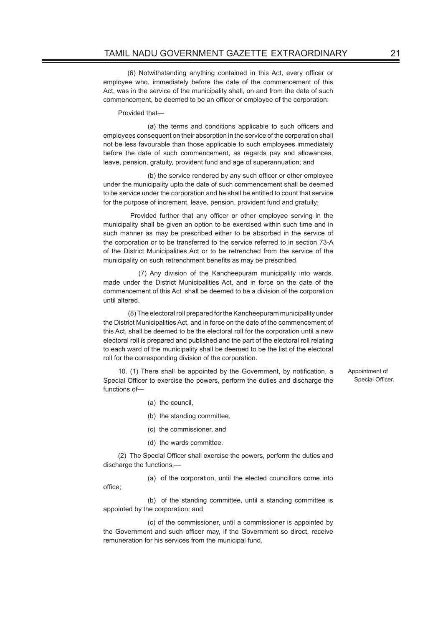(6) Notwithstanding anything contained in this Act, every officer or employee who, immediately before the date of the commencement of this Act, was in the service of the municipality shall, on and from the date of such commencement, be deemed to be an officer or employee of the corporation:

Provided that—

 (a) the terms and conditions applicable to such officers and employees consequent on their absorption in the service of the corporation shall not be less favourable than those applicable to such employees immediately before the date of such commencement, as regards pay and allowances, leave, pension, gratuity, provident fund and age of superannuation; and

 (b) the service rendered by any such officer or other employee under the municipality upto the date of such commencement shall be deemed to be service under the corporation and he shall be entitled to count that service for the purpose of increment, leave, pension, provident fund and gratuity:

 Provided further that any officer or other employee serving in the municipality shall be given an option to be exercised within such time and in such manner as may be prescribed either to be absorbed in the service of the corporation or to be transferred to the service referred to in section 73-A of the District Municipalities Act or to be retrenched from the service of the municipality on such retrenchment benefits as may be prescribed.

 (7) Any division of the Kancheepuram municipality into wards, made under the District Municipalities Act, and in force on the date of the commencement of this Act shall be deemed to be a division of the corporation until altered.

 (8) The electoral roll prepared for the Kancheepuram municipality under the District Municipalities Act, and in force on the date of the commencement of this Act, shall be deemed to be the electoral roll for the corporation until a new electoral roll is prepared and published and the part of the electoral roll relating to each ward of the municipality shall be deemed to be the list of the electoral roll for the corresponding division of the corporation.

10. (1) There shall be appointed by the Government, by notification, a Special Officer to exercise the powers, perform the duties and discharge the functions of—

(a) the council,

office;

- (b) the standing committee,
- (c) the commissioner, and
- (d) the wards committee.

(2) The Special Officer shall exercise the powers, perform the duties and discharge the functions,—

(a) of the corporation, until the elected councillors come into

 (b) of the standing committee, until a standing committee is appointed by the corporation; and

 (c) of the commissioner, until a commissioner is appointed by the Government and such officer may, if the Government so direct, receive remuneration for his services from the municipal fund.

Appointment of Special Officer.